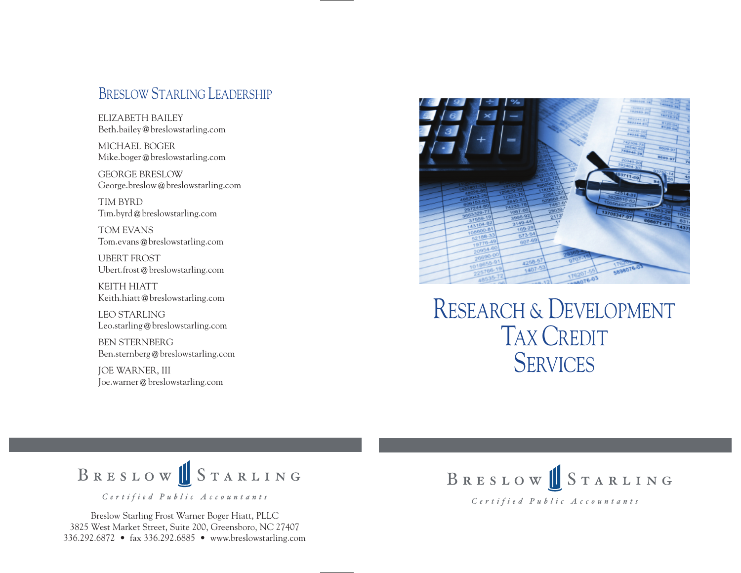#### BRESLOW STARLING LEADERSHIP

ELIZABETH BAILEY Beth.bailey@breslowstarling.com

MICHAEL BOGER Mike.boger@breslowstarling.com

GEORGE BRESLOW George.breslow@breslowstarling.com

TIM BYRD Tim.byrd@breslowstarling.com

TOM EVANS Tom.evans@breslowstarling.com

UBERT FROST Ubert.frost@breslowstarling.com

KEITH HIATT Keith.hiatt@breslowstarling.com

LEO STARLING Leo.starling@breslowstarling.com

BEN STERNBERG Ben.sternberg@breslowstarling.com

JOE WARNER, III Joe.warner@breslowstarling.com



RESEARCH & DEVELOPMENT TAX CREDIT **SERVICES** 



Breslow Starling Frost Warner Boger Hiatt, PLLC 3825 West Market Street, Suite 200, Greensboro, NC 27407 336.292.6872 • fax 336.292.6885 • www.breslowstarling.com